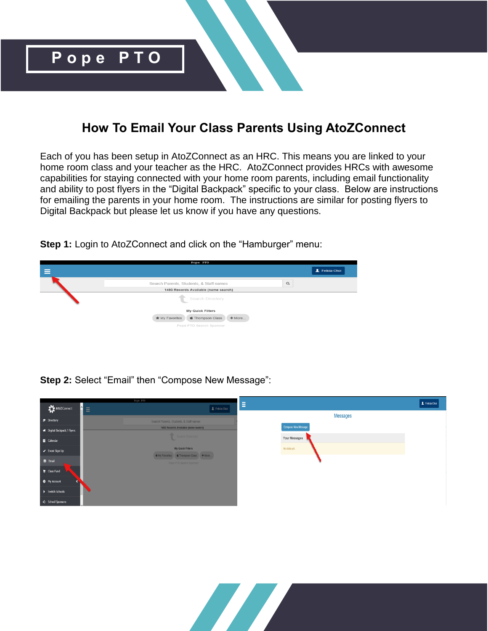

## **How To Email Your Class Parents Using AtoZConnect**

Each of you has been setup in AtoZConnect as an HRC. This means you are linked to your home room class and your teacher as the HRC. AtoZConnect provides HRCs with awesome capabilities for staying connected with your home room parents, including email functionality and ability to post flyers in the "Digital Backpack" specific to your class. Below are instructions for emailing the parents in your home room. The instructions are similar for posting flyers to Digital Backpack but please let us know if you have any questions.

**Step 1:** Login to AtoZConnect and click on the "Hamburger" menu:



**Step 2:** Select "Email" then "Compose New Message":



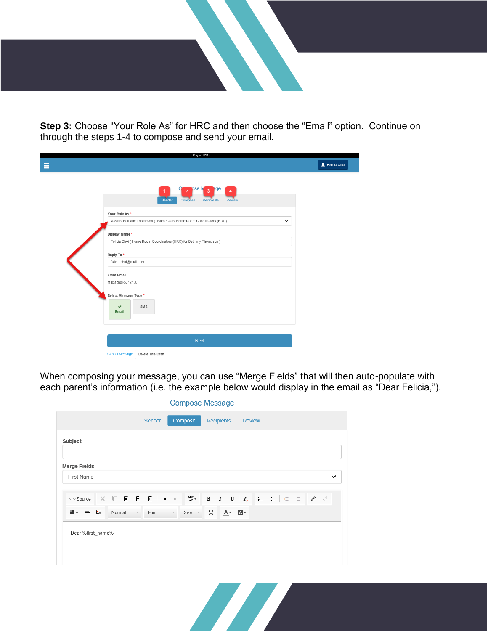

**Step 3:** Choose "Your Role As" for HRC and then choose the "Email" option. Continue on through the steps 1-4 to compose and send your email.

| Pope PTO                                                                                                                                                                                                                                                                                                                                                                                                            |              |
|---------------------------------------------------------------------------------------------------------------------------------------------------------------------------------------------------------------------------------------------------------------------------------------------------------------------------------------------------------------------------------------------------------------------|--------------|
| Ξ                                                                                                                                                                                                                                                                                                                                                                                                                   | Felicia Choi |
| pse M<br>pge<br>$\overline{3}$<br>$\overline{2}$<br>4<br>Sender<br>Compose<br>Recipients<br>Review<br>Your Role As*<br>Assists Bethany Thompson (Teachers) as Home Room Coordinators (HRC)<br>Display Name*<br>Felicia Choi (Home Room Coordinators (HRC) for Bethany Thompson)<br>Reply To*<br>felicia.choi@mail.com<br>From Email<br>feliciachoi-5042450<br>Select Message Type *<br>SMS<br>$\checkmark$<br>Email | $\checkmark$ |
|                                                                                                                                                                                                                                                                                                                                                                                                                     |              |
| <b>Next</b><br><b>Cancel Message</b><br>Delete This Draft                                                                                                                                                                                                                                                                                                                                                           |              |

When composing your message, you can use "Merge Fields" that will then auto-populate with each parent's information (i.e. the example below would display in the email as "Dear Felicia,").

| Subject                       |                                                   |                                  |                  |         |  |              |
|-------------------------------|---------------------------------------------------|----------------------------------|------------------|---------|--|--------------|
| <b>Merge Fields</b>           |                                                   |                                  |                  |         |  |              |
| First Name                    |                                                   |                                  |                  |         |  | $\checkmark$ |
| <p> Source</p>                | $\left[\frac{1}{\mu}\right]$<br>$X$ $\Box$ $\Box$ | $\blacktriangleleft$<br>$\geq$   | ABC <sub>+</sub> |         |  |              |
| $\mathbb{H}^+ =$<br>$\dot{ }$ | Normal<br>$\overline{\phantom{a}}$                | Font<br>$\overline{\phantom{a}}$ | δč<br>Size *     | $A - A$ |  |              |
| Dear %first_name%,            |                                                   |                                  |                  |         |  |              |
|                               |                                                   |                                  |                  |         |  |              |